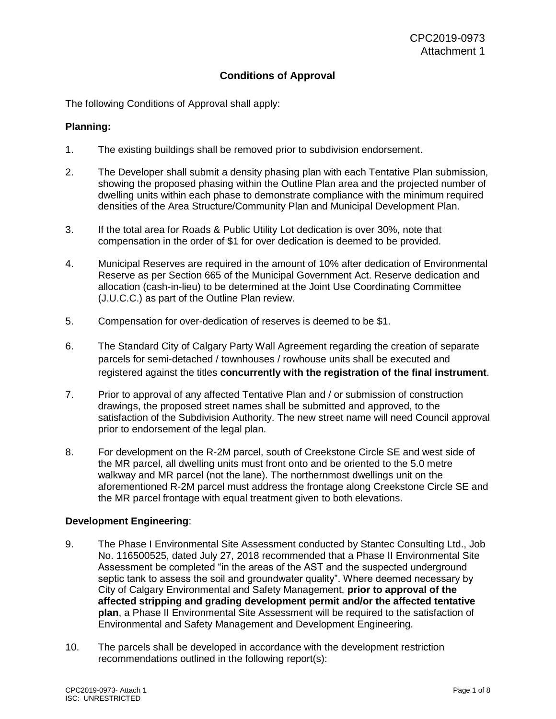The following Conditions of Approval shall apply:

#### **Planning:**

- 1. The existing buildings shall be removed prior to subdivision endorsement.
- 2. The Developer shall submit a density phasing plan with each Tentative Plan submission, showing the proposed phasing within the Outline Plan area and the projected number of dwelling units within each phase to demonstrate compliance with the minimum required densities of the Area Structure/Community Plan and Municipal Development Plan.
- 3. If the total area for Roads & Public Utility Lot dedication is over 30%, note that compensation in the order of \$1 for over dedication is deemed to be provided.
- 4. Municipal Reserves are required in the amount of 10% after dedication of Environmental Reserve as per Section 665 of the Municipal Government Act. Reserve dedication and allocation (cash-in-lieu) to be determined at the Joint Use Coordinating Committee (J.U.C.C.) as part of the Outline Plan review.
- 5. Compensation for over-dedication of reserves is deemed to be \$1.
- 6. The Standard City of Calgary Party Wall Agreement regarding the creation of separate parcels for semi-detached / townhouses / rowhouse units shall be executed and registered against the titles **concurrently with the registration of the final instrument**.
- 7. Prior to approval of any affected Tentative Plan and / or submission of construction drawings, the proposed street names shall be submitted and approved, to the satisfaction of the Subdivision Authority. The new street name will need Council approval prior to endorsement of the legal plan.
- 8. For development on the R-2M parcel, south of Creekstone Circle SE and west side of the MR parcel, all dwelling units must front onto and be oriented to the 5.0 metre walkway and MR parcel (not the lane). The northernmost dwellings unit on the aforementioned R-2M parcel must address the frontage along Creekstone Circle SE and the MR parcel frontage with equal treatment given to both elevations.

#### **Development Engineering**:

- 9. The Phase I Environmental Site Assessment conducted by Stantec Consulting Ltd., Job No. 116500525, dated July 27, 2018 recommended that a Phase II Environmental Site Assessment be completed "in the areas of the AST and the suspected underground septic tank to assess the soil and groundwater quality". Where deemed necessary by City of Calgary Environmental and Safety Management, **prior to approval of the affected stripping and grading development permit and/or the affected tentative plan**, a Phase II Environmental Site Assessment will be required to the satisfaction of Environmental and Safety Management and Development Engineering.
- 10. The parcels shall be developed in accordance with the development restriction recommendations outlined in the following report(s):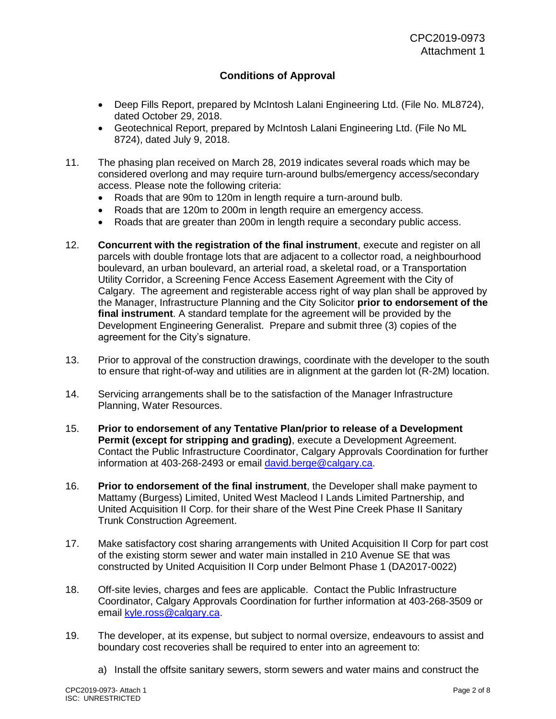- Deep Fills Report, prepared by McIntosh Lalani Engineering Ltd. (File No. ML8724), dated October 29, 2018.
- Geotechnical Report, prepared by McIntosh Lalani Engineering Ltd. (File No ML 8724), dated July 9, 2018.
- 11. The phasing plan received on March 28, 2019 indicates several roads which may be considered overlong and may require turn-around bulbs/emergency access/secondary access. Please note the following criteria:
	- Roads that are 90m to 120m in length require a turn-around bulb.
	- Roads that are 120m to 200m in length require an emergency access.
	- Roads that are greater than 200m in length require a secondary public access.
- 12. **Concurrent with the registration of the final instrument**, execute and register on all parcels with double frontage lots that are adjacent to a collector road, a neighbourhood boulevard, an urban boulevard, an arterial road, a skeletal road, or a Transportation Utility Corridor, a Screening Fence Access Easement Agreement with the City of Calgary. The agreement and registerable access right of way plan shall be approved by the Manager, Infrastructure Planning and the City Solicitor **prior to endorsement of the final instrument**. A standard template for the agreement will be provided by the Development Engineering Generalist. Prepare and submit three (3) copies of the agreement for the City's signature.
- 13. Prior to approval of the construction drawings, coordinate with the developer to the south to ensure that right-of-way and utilities are in alignment at the garden lot (R-2M) location.
- 14. Servicing arrangements shall be to the satisfaction of the Manager Infrastructure Planning, Water Resources.
- 15. **Prior to endorsement of any Tentative Plan/prior to release of a Development Permit (except for stripping and grading)**, execute a Development Agreement. Contact the Public Infrastructure Coordinator, Calgary Approvals Coordination for further information at 403-268-2493 or email [david.berge@calgary.ca.](mailto:david.berge@calgary.ca)
- 16. **Prior to endorsement of the final instrument**, the Developer shall make payment to Mattamy (Burgess) Limited, United West Macleod I Lands Limited Partnership, and United Acquisition II Corp. for their share of the West Pine Creek Phase II Sanitary Trunk Construction Agreement.
- 17. Make satisfactory cost sharing arrangements with United Acquisition II Corp for part cost of the existing storm sewer and water main installed in 210 Avenue SE that was constructed by United Acquisition II Corp under Belmont Phase 1 (DA2017-0022)
- 18. Off-site levies, charges and fees are applicable. Contact the Public Infrastructure Coordinator, Calgary Approvals Coordination for further information at 403-268-3509 or email [kyle.ross@calgary.ca.](mailto:kyle.ross@calgary.ca)
- 19. The developer, at its expense, but subject to normal oversize, endeavours to assist and boundary cost recoveries shall be required to enter into an agreement to:
	- a) Install the offsite sanitary sewers, storm sewers and water mains and construct the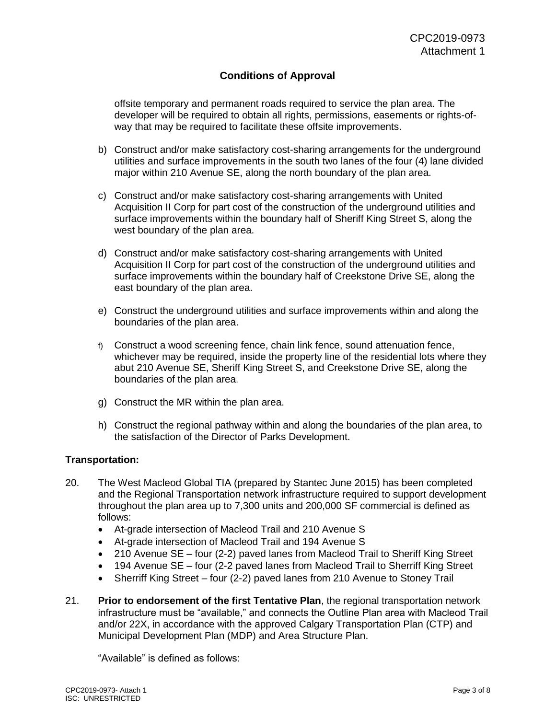offsite temporary and permanent roads required to service the plan area. The developer will be required to obtain all rights, permissions, easements or rights-ofway that may be required to facilitate these offsite improvements.

- b) Construct and/or make satisfactory cost-sharing arrangements for the underground utilities and surface improvements in the south two lanes of the four (4) lane divided major within 210 Avenue SE, along the north boundary of the plan area.
- c) Construct and/or make satisfactory cost-sharing arrangements with United Acquisition II Corp for part cost of the construction of the underground utilities and surface improvements within the boundary half of Sheriff King Street S, along the west boundary of the plan area.
- d) Construct and/or make satisfactory cost-sharing arrangements with United Acquisition II Corp for part cost of the construction of the underground utilities and surface improvements within the boundary half of Creekstone Drive SE, along the east boundary of the plan area.
- e) Construct the underground utilities and surface improvements within and along the boundaries of the plan area.
- f) Construct a wood screening fence, chain link fence, sound attenuation fence, whichever may be required, inside the property line of the residential lots where they abut 210 Avenue SE, Sheriff King Street S, and Creekstone Drive SE, along the boundaries of the plan area.
- g) Construct the MR within the plan area.
- h) Construct the regional pathway within and along the boundaries of the plan area, to the satisfaction of the Director of Parks Development.

### **Transportation:**

- 20. The West Macleod Global TIA (prepared by Stantec June 2015) has been completed and the Regional Transportation network infrastructure required to support development throughout the plan area up to 7,300 units and 200,000 SF commercial is defined as follows:
	- At-grade intersection of Macleod Trail and 210 Avenue S
	- At-grade intersection of Macleod Trail and 194 Avenue S
	- 210 Avenue SE four (2-2) paved lanes from Macleod Trail to Sheriff King Street
	- 194 Avenue SE four (2-2 paved lanes from Macleod Trail to Sherriff King Street
	- Sherriff King Street four (2-2) paved lanes from 210 Avenue to Stoney Trail
- 21. **Prior to endorsement of the first Tentative Plan**, the regional transportation network infrastructure must be "available," and connects the Outline Plan area with Macleod Trail and/or 22X, in accordance with the approved Calgary Transportation Plan (CTP) and Municipal Development Plan (MDP) and Area Structure Plan.

"Available" is defined as follows: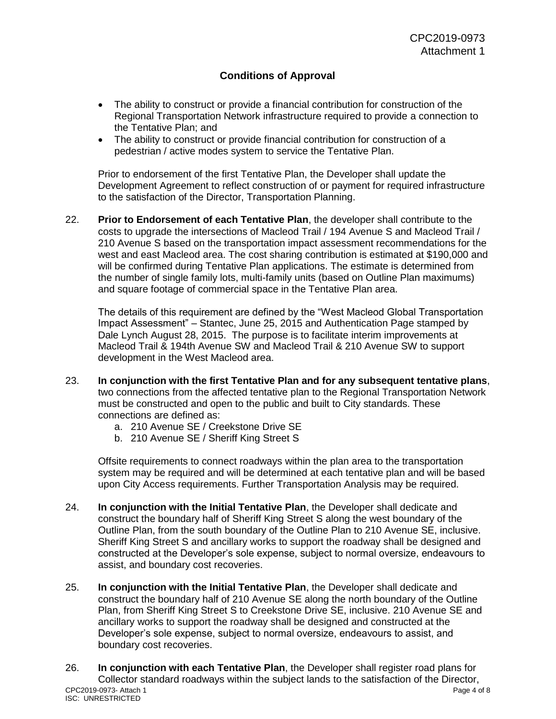- The ability to construct or provide a financial contribution for construction of the Regional Transportation Network infrastructure required to provide a connection to the Tentative Plan; and
- The ability to construct or provide financial contribution for construction of a pedestrian / active modes system to service the Tentative Plan.

Prior to endorsement of the first Tentative Plan, the Developer shall update the Development Agreement to reflect construction of or payment for required infrastructure to the satisfaction of the Director, Transportation Planning.

22. **Prior to Endorsement of each Tentative Plan**, the developer shall contribute to the costs to upgrade the intersections of Macleod Trail / 194 Avenue S and Macleod Trail / 210 Avenue S based on the transportation impact assessment recommendations for the west and east Macleod area. The cost sharing contribution is estimated at \$190,000 and will be confirmed during Tentative Plan applications. The estimate is determined from the number of single family lots, multi-family units (based on Outline Plan maximums) and square footage of commercial space in the Tentative Plan area.

The details of this requirement are defined by the "West Macleod Global Transportation Impact Assessment" – Stantec, June 25, 2015 and Authentication Page stamped by Dale Lynch August 28, 2015. The purpose is to facilitate interim improvements at Macleod Trail & 194th Avenue SW and Macleod Trail & 210 Avenue SW to support development in the West Macleod area.

- 23. **In conjunction with the first Tentative Plan and for any subsequent tentative plans**, two connections from the affected tentative plan to the Regional Transportation Network must be constructed and open to the public and built to City standards. These connections are defined as:
	- a. 210 Avenue SE / Creekstone Drive SE
	- b. 210 Avenue SE / Sheriff King Street S

Offsite requirements to connect roadways within the plan area to the transportation system may be required and will be determined at each tentative plan and will be based upon City Access requirements. Further Transportation Analysis may be required.

- 24. **In conjunction with the Initial Tentative Plan**, the Developer shall dedicate and construct the boundary half of Sheriff King Street S along the west boundary of the Outline Plan, from the south boundary of the Outline Plan to 210 Avenue SE, inclusive. Sheriff King Street S and ancillary works to support the roadway shall be designed and constructed at the Developer's sole expense, subject to normal oversize, endeavours to assist, and boundary cost recoveries.
- 25. **In conjunction with the Initial Tentative Plan**, the Developer shall dedicate and construct the boundary half of 210 Avenue SE along the north boundary of the Outline Plan, from Sheriff King Street S to Creekstone Drive SE, inclusive. 210 Avenue SE and ancillary works to support the roadway shall be designed and constructed at the Developer's sole expense, subject to normal oversize, endeavours to assist, and boundary cost recoveries.
- CPC2019-0973- Attach 1 Page 4 of 8 ISC: UNRESTRICTED 26. **In conjunction with each Tentative Plan**, the Developer shall register road plans for Collector standard roadways within the subject lands to the satisfaction of the Director,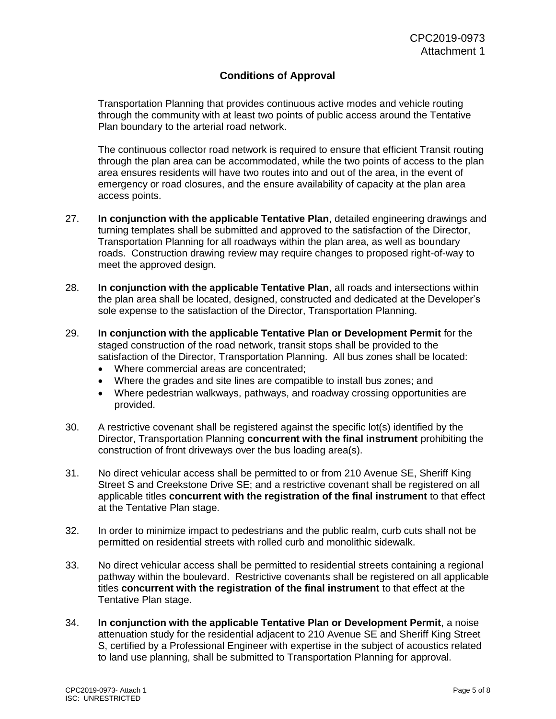Transportation Planning that provides continuous active modes and vehicle routing through the community with at least two points of public access around the Tentative Plan boundary to the arterial road network.

The continuous collector road network is required to ensure that efficient Transit routing through the plan area can be accommodated, while the two points of access to the plan area ensures residents will have two routes into and out of the area, in the event of emergency or road closures, and the ensure availability of capacity at the plan area access points.

- 27. **In conjunction with the applicable Tentative Plan**, detailed engineering drawings and turning templates shall be submitted and approved to the satisfaction of the Director, Transportation Planning for all roadways within the plan area, as well as boundary roads. Construction drawing review may require changes to proposed right-of-way to meet the approved design.
- 28. **In conjunction with the applicable Tentative Plan**, all roads and intersections within the plan area shall be located, designed, constructed and dedicated at the Developer's sole expense to the satisfaction of the Director, Transportation Planning.
- 29. **In conjunction with the applicable Tentative Plan or Development Permit** for the staged construction of the road network, transit stops shall be provided to the satisfaction of the Director, Transportation Planning. All bus zones shall be located:
	- Where commercial areas are concentrated;
	- Where the grades and site lines are compatible to install bus zones; and
	- Where pedestrian walkways, pathways, and roadway crossing opportunities are provided.
- 30. A restrictive covenant shall be registered against the specific lot(s) identified by the Director, Transportation Planning **concurrent with the final instrument** prohibiting the construction of front driveways over the bus loading area(s).
- 31. No direct vehicular access shall be permitted to or from 210 Avenue SE, Sheriff King Street S and Creekstone Drive SE; and a restrictive covenant shall be registered on all applicable titles **concurrent with the registration of the final instrument** to that effect at the Tentative Plan stage.
- 32. In order to minimize impact to pedestrians and the public realm, curb cuts shall not be permitted on residential streets with rolled curb and monolithic sidewalk.
- 33. No direct vehicular access shall be permitted to residential streets containing a regional pathway within the boulevard. Restrictive covenants shall be registered on all applicable titles **concurrent with the registration of the final instrument** to that effect at the Tentative Plan stage.
- 34. **In conjunction with the applicable Tentative Plan or Development Permit**, a noise attenuation study for the residential adjacent to 210 Avenue SE and Sheriff King Street S, certified by a Professional Engineer with expertise in the subject of acoustics related to land use planning, shall be submitted to Transportation Planning for approval.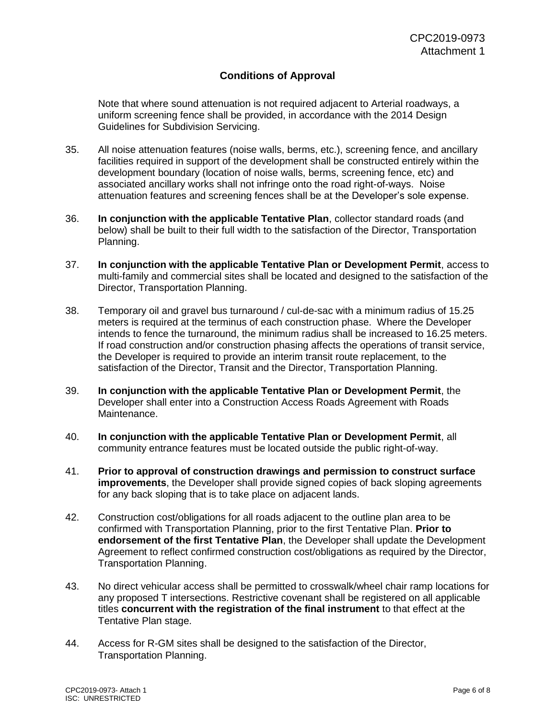Note that where sound attenuation is not required adjacent to Arterial roadways, a uniform screening fence shall be provided, in accordance with the 2014 Design Guidelines for Subdivision Servicing.

- 35. All noise attenuation features (noise walls, berms, etc.), screening fence, and ancillary facilities required in support of the development shall be constructed entirely within the development boundary (location of noise walls, berms, screening fence, etc) and associated ancillary works shall not infringe onto the road right-of-ways. Noise attenuation features and screening fences shall be at the Developer's sole expense.
- 36. **In conjunction with the applicable Tentative Plan**, collector standard roads (and below) shall be built to their full width to the satisfaction of the Director, Transportation Planning.
- 37. **In conjunction with the applicable Tentative Plan or Development Permit**, access to multi-family and commercial sites shall be located and designed to the satisfaction of the Director, Transportation Planning.
- 38. Temporary oil and gravel bus turnaround / cul-de-sac with a minimum radius of 15.25 meters is required at the terminus of each construction phase. Where the Developer intends to fence the turnaround, the minimum radius shall be increased to 16.25 meters. If road construction and/or construction phasing affects the operations of transit service, the Developer is required to provide an interim transit route replacement, to the satisfaction of the Director, Transit and the Director, Transportation Planning.
- 39. **In conjunction with the applicable Tentative Plan or Development Permit**, the Developer shall enter into a Construction Access Roads Agreement with Roads Maintenance.
- 40. **In conjunction with the applicable Tentative Plan or Development Permit**, all community entrance features must be located outside the public right-of-way.
- 41. **Prior to approval of construction drawings and permission to construct surface improvements**, the Developer shall provide signed copies of back sloping agreements for any back sloping that is to take place on adjacent lands.
- 42. Construction cost/obligations for all roads adjacent to the outline plan area to be confirmed with Transportation Planning, prior to the first Tentative Plan. **Prior to endorsement of the first Tentative Plan**, the Developer shall update the Development Agreement to reflect confirmed construction cost/obligations as required by the Director, Transportation Planning.
- 43. No direct vehicular access shall be permitted to crosswalk/wheel chair ramp locations for any proposed T intersections. Restrictive covenant shall be registered on all applicable titles **concurrent with the registration of the final instrument** to that effect at the Tentative Plan stage.
- 44. Access for R-GM sites shall be designed to the satisfaction of the Director, Transportation Planning.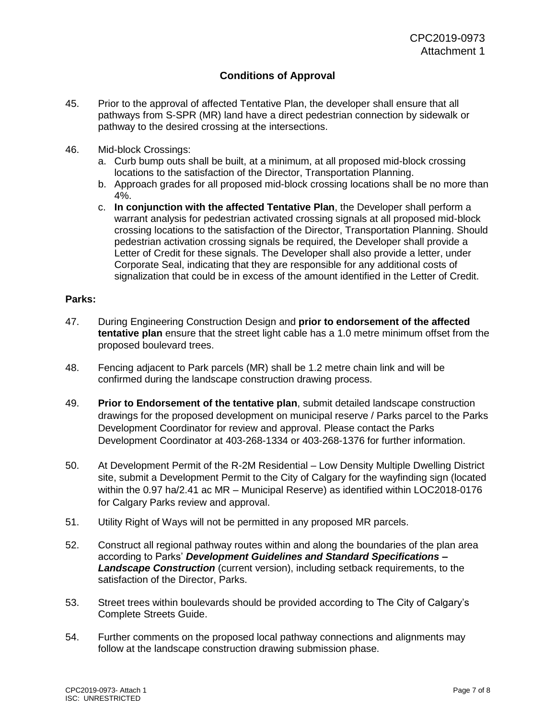- 45. Prior to the approval of affected Tentative Plan, the developer shall ensure that all pathways from S-SPR (MR) land have a direct pedestrian connection by sidewalk or pathway to the desired crossing at the intersections.
- 46. Mid-block Crossings:
	- a. Curb bump outs shall be built, at a minimum, at all proposed mid-block crossing locations to the satisfaction of the Director, Transportation Planning.
	- b. Approach grades for all proposed mid-block crossing locations shall be no more than 4%.
	- c. **In conjunction with the affected Tentative Plan**, the Developer shall perform a warrant analysis for pedestrian activated crossing signals at all proposed mid-block crossing locations to the satisfaction of the Director, Transportation Planning. Should pedestrian activation crossing signals be required, the Developer shall provide a Letter of Credit for these signals. The Developer shall also provide a letter, under Corporate Seal, indicating that they are responsible for any additional costs of signalization that could be in excess of the amount identified in the Letter of Credit.

#### **Parks:**

- 47. During Engineering Construction Design and **prior to endorsement of the affected tentative plan** ensure that the street light cable has a 1.0 metre minimum offset from the proposed boulevard trees.
- 48. Fencing adjacent to Park parcels (MR) shall be 1.2 metre chain link and will be confirmed during the landscape construction drawing process.
- 49. **Prior to Endorsement of the tentative plan**, submit detailed landscape construction drawings for the proposed development on municipal reserve / Parks parcel to the Parks Development Coordinator for review and approval. Please contact the Parks Development Coordinator at 403-268-1334 or 403-268-1376 for further information.
- 50. At Development Permit of the R-2M Residential Low Density Multiple Dwelling District site, submit a Development Permit to the City of Calgary for the wayfinding sign (located within the 0.97 ha/2.41 ac MR – Municipal Reserve) as identified within LOC2018-0176 for Calgary Parks review and approval.
- 51. Utility Right of Ways will not be permitted in any proposed MR parcels.
- 52. Construct all regional pathway routes within and along the boundaries of the plan area according to Parks' *Development Guidelines and Standard Specifications – Landscape Construction* (current version), including setback requirements, to the satisfaction of the Director, Parks.
- 53. Street trees within boulevards should be provided according to The City of Calgary's Complete Streets Guide.
- 54. Further comments on the proposed local pathway connections and alignments may follow at the landscape construction drawing submission phase.